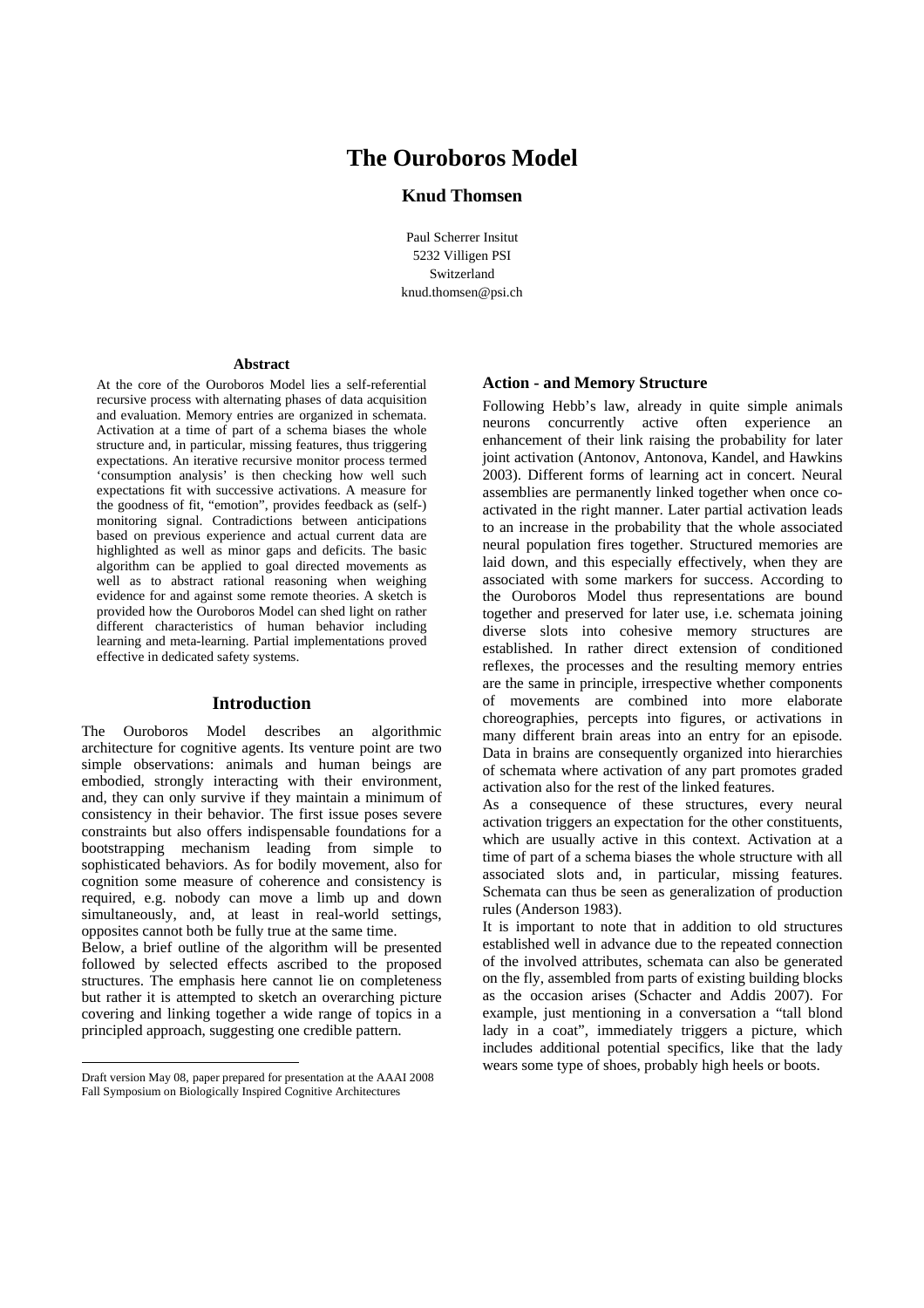# **The Ouroboros Model**

# **Knud Thomsen**

Paul Scherrer Insitut 5232 Villigen PSI Switzerland knud.thomsen@psi.ch

#### **Abstract**

At the core of the Ouroboros Model lies a self-referential recursive process with alternating phases of data acquisition and evaluation. Memory entries are organized in schemata. Activation at a time of part of a schema biases the whole structure and, in particular, missing features, thus triggering expectations. An iterative recursive monitor process termed 'consumption analysis' is then checking how well such expectations fit with successive activations. A measure for the goodness of fit, "emotion", provides feedback as (self-) monitoring signal. Contradictions between anticipations based on previous experience and actual current data are highlighted as well as minor gaps and deficits. The basic algorithm can be applied to goal directed movements as well as to abstract rational reasoning when weighing evidence for and against some remote theories. A sketch is provided how the Ouroboros Model can shed light on rather different characteristics of human behavior including learning and meta-learning. Partial implementations proved effective in dedicated safety systems.

## **Introduction**

The Ouroboros Model describes an algorithmic architecture for cognitive agents. Its venture point are two simple observations: animals and human beings are embodied, strongly interacting with their environment, and, they can only survive if they maintain a minimum of consistency in their behavior. The first issue poses severe constraints but also offers indispensable foundations for a bootstrapping mechanism leading from simple to sophisticated behaviors. As for bodily movement, also for cognition some measure of coherence and consistency is required, e.g. nobody can move a limb up and down simultaneously, and, at least in real-world settings, opposites cannot both be fully true at the same time.

Below, a brief outline of the algorithm will be presented followed by selected effects ascribed to the proposed structures. The emphasis here cannot lie on completeness but rather it is attempted to sketch an overarching picture covering and linking together a wide range of topics in a principled approach, suggesting one credible pattern.

#### **Action - and Memory Structure**

Following Hebb's law, already in quite simple animals neurons concurrently active often experience an enhancement of their link raising the probability for later joint activation (Antonov, Antonova, Kandel, and Hawkins 2003). Different forms of learning act in concert. Neural assemblies are permanently linked together when once coactivated in the right manner. Later partial activation leads to an increase in the probability that the whole associated neural population fires together. Structured memories are laid down, and this especially effectively, when they are associated with some markers for success. According to the Ouroboros Model thus representations are bound together and preserved for later use, i.e. schemata joining diverse slots into cohesive memory structures are established. In rather direct extension of conditioned reflexes, the processes and the resulting memory entries are the same in principle, irrespective whether components of movements are combined into more elaborate choreographies, percepts into figures, or activations in many different brain areas into an entry for an episode. Data in brains are consequently organized into hierarchies of schemata where activation of any part promotes graded activation also for the rest of the linked features.

As a consequence of these structures, every neural activation triggers an expectation for the other constituents, which are usually active in this context. Activation at a time of part of a schema biases the whole structure with all associated slots and, in particular, missing features. Schemata can thus be seen as generalization of production rules (Anderson 1983).

It is important to note that in addition to old structures established well in advance due to the repeated connection of the involved attributes, schemata can also be generated on the fly, assembled from parts of existing building blocks as the occasion arises (Schacter and Addis 2007). For example, just mentioning in a conversation a "tall blond lady in a coat", immediately triggers a picture, which includes additional potential specifics, like that the lady wears some type of shoes, probably high heels or boots.

Draft version May 08, paper prepared for presentation at the AAAI 2008 Fall Symposium on Biologically Inspired Cognitive Architectures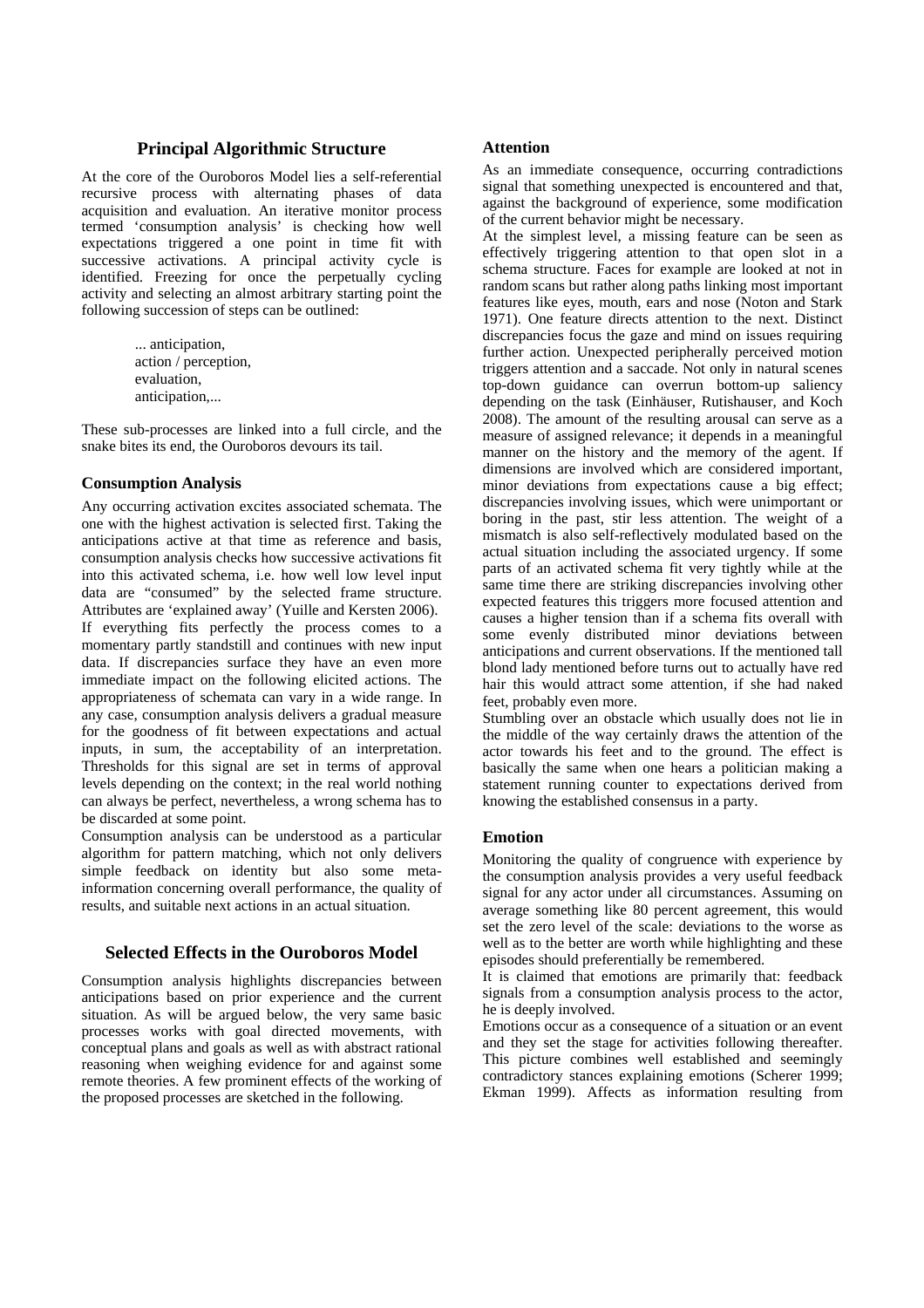# **Principal Algorithmic Structure**

At the core of the Ouroboros Model lies a self-referential recursive process with alternating phases of data acquisition and evaluation. An iterative monitor process termed 'consumption analysis' is checking how well expectations triggered a one point in time fit with successive activations. A principal activity cycle is identified. Freezing for once the perpetually cycling activity and selecting an almost arbitrary starting point the following succession of steps can be outlined:

> ... anticipation, action / perception, evaluation, anticipation,...

These sub-processes are linked into a full circle, and the snake bites its end, the Ouroboros devours its tail.

#### **Consumption Analysis**

Any occurring activation excites associated schemata. The one with the highest activation is selected first. Taking the anticipations active at that time as reference and basis, consumption analysis checks how successive activations fit into this activated schema, i.e. how well low level input data are "consumed" by the selected frame structure. Attributes are 'explained away' (Yuille and Kersten 2006). If everything fits perfectly the process comes to a momentary partly standstill and continues with new input data. If discrepancies surface they have an even more immediate impact on the following elicited actions. The appropriateness of schemata can vary in a wide range. In any case, consumption analysis delivers a gradual measure for the goodness of fit between expectations and actual inputs, in sum, the acceptability of an interpretation. Thresholds for this signal are set in terms of approval levels depending on the context; in the real world nothing can always be perfect, nevertheless, a wrong schema has to be discarded at some point.

Consumption analysis can be understood as a particular algorithm for pattern matching, which not only delivers simple feedback on identity but also some metainformation concerning overall performance, the quality of results, and suitable next actions in an actual situation.

## **Selected Effects in the Ouroboros Model**

Consumption analysis highlights discrepancies between anticipations based on prior experience and the current situation. As will be argued below, the very same basic processes works with goal directed movements, with conceptual plans and goals as well as with abstract rational reasoning when weighing evidence for and against some remote theories. A few prominent effects of the working of the proposed processes are sketched in the following.

#### **Attention**

As an immediate consequence, occurring contradictions signal that something unexpected is encountered and that, against the background of experience, some modification of the current behavior might be necessary.

At the simplest level, a missing feature can be seen as effectively triggering attention to that open slot in a schema structure. Faces for example are looked at not in random scans but rather along paths linking most important features like eyes, mouth, ears and nose (Noton and Stark 1971). One feature directs attention to the next. Distinct discrepancies focus the gaze and mind on issues requiring further action. Unexpected peripherally perceived motion triggers attention and a saccade. Not only in natural scenes top-down guidance can overrun bottom-up saliency depending on the task (Einhäuser, Rutishauser, and Koch 2008). The amount of the resulting arousal can serve as a measure of assigned relevance; it depends in a meaningful manner on the history and the memory of the agent. If dimensions are involved which are considered important, minor deviations from expectations cause a big effect; discrepancies involving issues, which were unimportant or boring in the past, stir less attention. The weight of a mismatch is also self-reflectively modulated based on the actual situation including the associated urgency. If some parts of an activated schema fit very tightly while at the same time there are striking discrepancies involving other expected features this triggers more focused attention and causes a higher tension than if a schema fits overall with some evenly distributed minor deviations between anticipations and current observations. If the mentioned tall blond lady mentioned before turns out to actually have red hair this would attract some attention, if she had naked feet, probably even more.

Stumbling over an obstacle which usually does not lie in the middle of the way certainly draws the attention of the actor towards his feet and to the ground. The effect is basically the same when one hears a politician making a statement running counter to expectations derived from knowing the established consensus in a party.

#### **Emotion**

Monitoring the quality of congruence with experience by the consumption analysis provides a very useful feedback signal for any actor under all circumstances. Assuming on average something like 80 percent agreement, this would set the zero level of the scale: deviations to the worse as well as to the better are worth while highlighting and these episodes should preferentially be remembered.

It is claimed that emotions are primarily that: feedback signals from a consumption analysis process to the actor, he is deeply involved.

Emotions occur as a consequence of a situation or an event and they set the stage for activities following thereafter. This picture combines well established and seemingly contradictory stances explaining emotions (Scherer 1999; Ekman 1999). Affects as information resulting from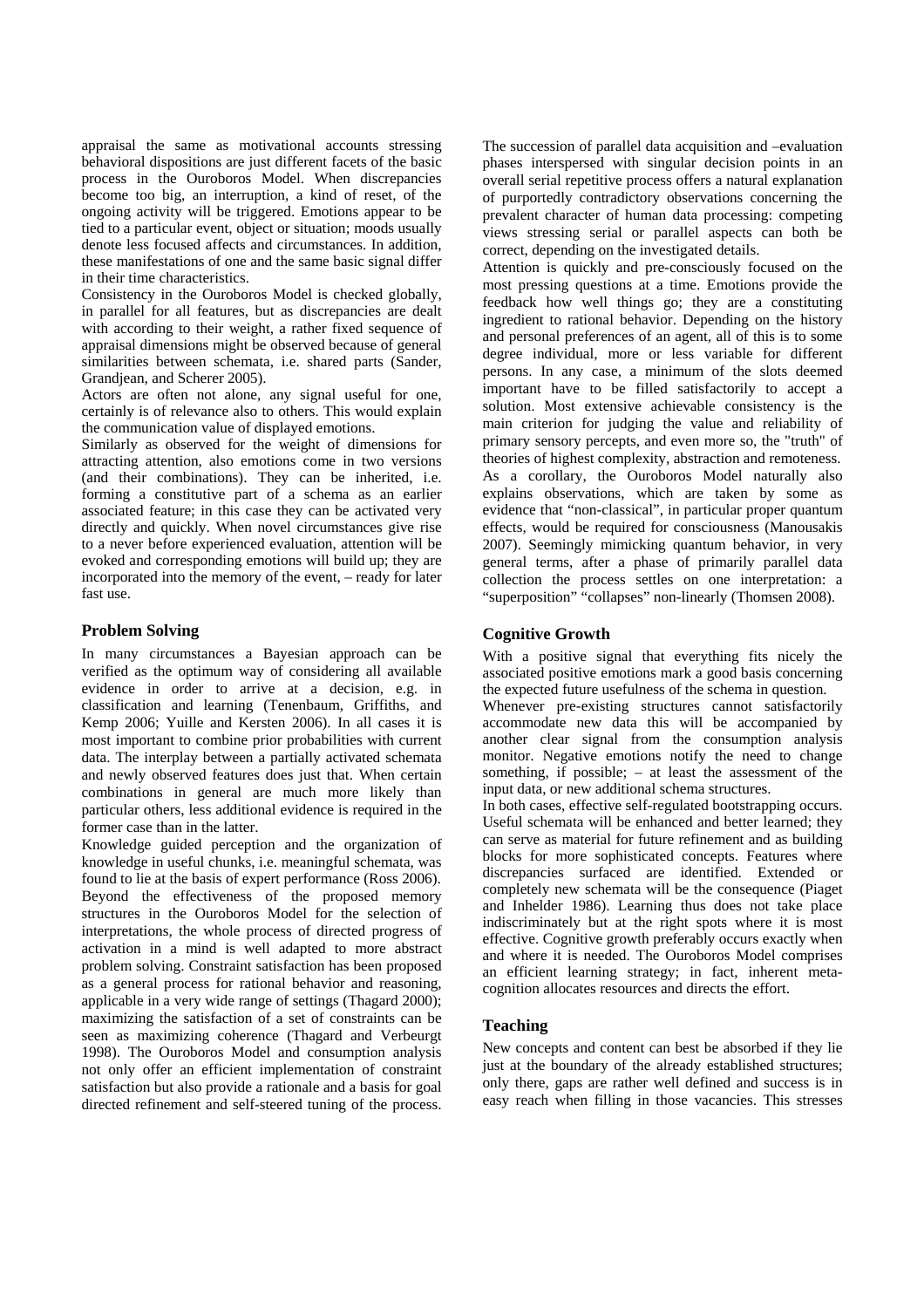appraisal the same as motivational accounts stressing behavioral dispositions are just different facets of the basic process in the Ouroboros Model. When discrepancies become too big, an interruption, a kind of reset, of the ongoing activity will be triggered. Emotions appear to be tied to a particular event, object or situation; moods usually denote less focused affects and circumstances. In addition, these manifestations of one and the same basic signal differ in their time characteristics.

Consistency in the Ouroboros Model is checked globally, in parallel for all features, but as discrepancies are dealt with according to their weight, a rather fixed sequence of appraisal dimensions might be observed because of general similarities between schemata, i.e. shared parts (Sander, Grandjean, and Scherer 2005).

Actors are often not alone, any signal useful for one, certainly is of relevance also to others. This would explain the communication value of displayed emotions.

Similarly as observed for the weight of dimensions for attracting attention, also emotions come in two versions (and their combinations). They can be inherited, i.e. forming a constitutive part of a schema as an earlier associated feature; in this case they can be activated very directly and quickly. When novel circumstances give rise to a never before experienced evaluation, attention will be evoked and corresponding emotions will build up; they are incorporated into the memory of the event, – ready for later fast use.

## **Problem Solving**

In many circumstances a Bayesian approach can be verified as the optimum way of considering all available evidence in order to arrive at a decision, e.g. in classification and learning (Tenenbaum, Griffiths, and Kemp 2006; Yuille and Kersten 2006). In all cases it is most important to combine prior probabilities with current data. The interplay between a partially activated schemata and newly observed features does just that. When certain combinations in general are much more likely than particular others, less additional evidence is required in the former case than in the latter.

Knowledge guided perception and the organization of knowledge in useful chunks, i.e. meaningful schemata, was found to lie at the basis of expert performance (Ross 2006). Beyond the effectiveness of the proposed memory structures in the Ouroboros Model for the selection of interpretations, the whole process of directed progress of activation in a mind is well adapted to more abstract problem solving. Constraint satisfaction has been proposed as a general process for rational behavior and reasoning, applicable in a very wide range of settings (Thagard 2000); maximizing the satisfaction of a set of constraints can be seen as maximizing coherence (Thagard and Verbeurgt 1998). The Ouroboros Model and consumption analysis not only offer an efficient implementation of constraint satisfaction but also provide a rationale and a basis for goal directed refinement and self-steered tuning of the process.

The succession of parallel data acquisition and –evaluation phases interspersed with singular decision points in an overall serial repetitive process offers a natural explanation of purportedly contradictory observations concerning the prevalent character of human data processing: competing views stressing serial or parallel aspects can both be correct, depending on the investigated details.

Attention is quickly and pre-consciously focused on the most pressing questions at a time. Emotions provide the feedback how well things go; they are a constituting ingredient to rational behavior. Depending on the history and personal preferences of an agent, all of this is to some degree individual, more or less variable for different persons. In any case, a minimum of the slots deemed important have to be filled satisfactorily to accept a solution. Most extensive achievable consistency is the main criterion for judging the value and reliability of primary sensory percepts, and even more so, the "truth" of theories of highest complexity, abstraction and remoteness. As a corollary, the Ouroboros Model naturally also explains observations, which are taken by some as evidence that "non-classical", in particular proper quantum effects, would be required for consciousness (Manousakis 2007). Seemingly mimicking quantum behavior, in very general terms, after a phase of primarily parallel data collection the process settles on one interpretation: a "superposition" "collapses" non-linearly (Thomsen 2008).

## **Cognitive Growth**

With a positive signal that everything fits nicely the associated positive emotions mark a good basis concerning the expected future usefulness of the schema in question.

Whenever pre-existing structures cannot satisfactorily accommodate new data this will be accompanied by another clear signal from the consumption analysis monitor. Negative emotions notify the need to change something, if possible; – at least the assessment of the input data, or new additional schema structures.

In both cases, effective self-regulated bootstrapping occurs. Useful schemata will be enhanced and better learned; they can serve as material for future refinement and as building blocks for more sophisticated concepts. Features where discrepancies surfaced are identified. Extended or completely new schemata will be the consequence (Piaget and Inhelder 1986). Learning thus does not take place indiscriminately but at the right spots where it is most effective. Cognitive growth preferably occurs exactly when and where it is needed. The Ouroboros Model comprises an efficient learning strategy; in fact, inherent metacognition allocates resources and directs the effort.

#### **Teaching**

New concepts and content can best be absorbed if they lie just at the boundary of the already established structures; only there, gaps are rather well defined and success is in easy reach when filling in those vacancies. This stresses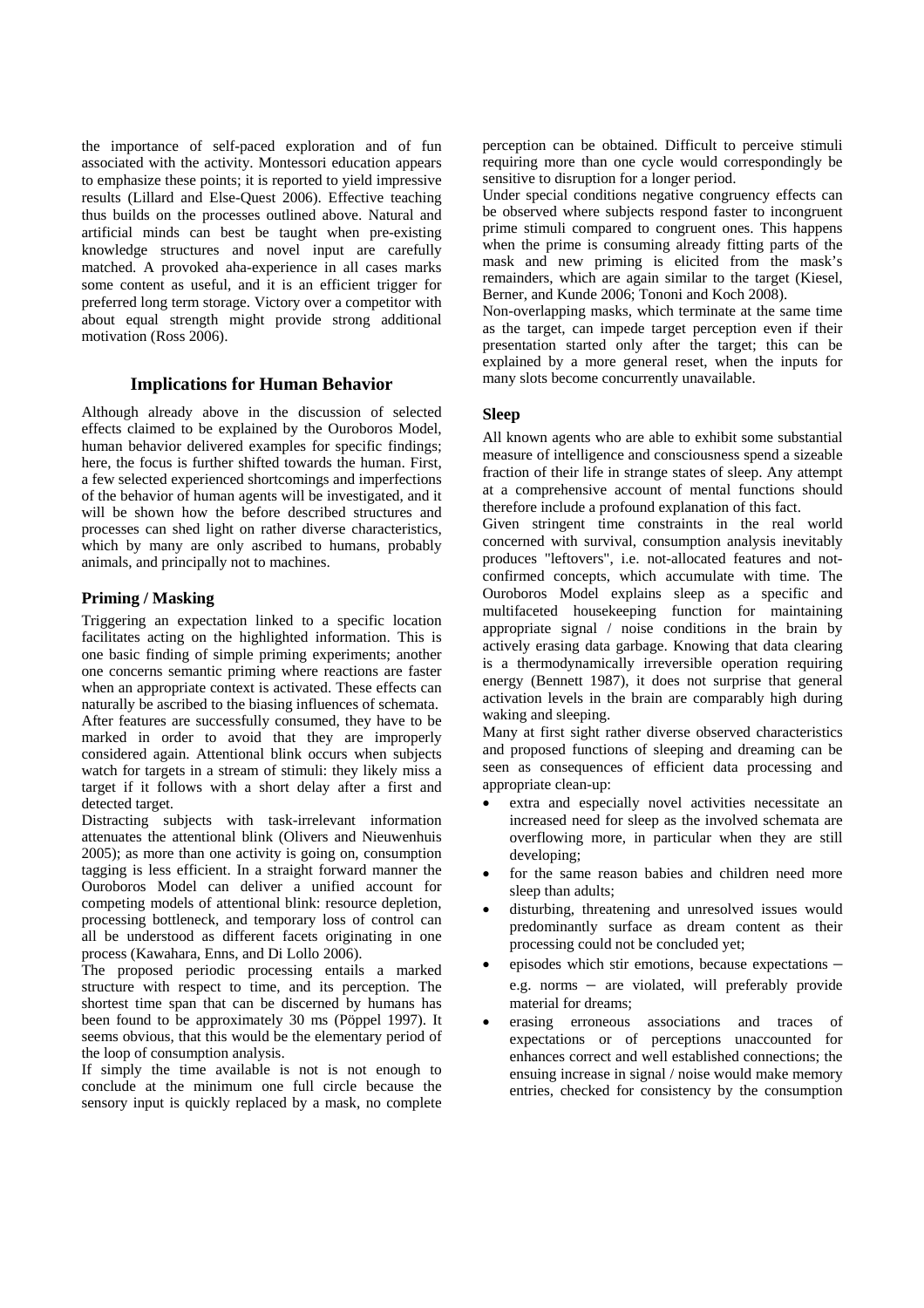the importance of self-paced exploration and of fun associated with the activity. Montessori education appears to emphasize these points; it is reported to yield impressive results (Lillard and Else-Quest 2006). Effective teaching thus builds on the processes outlined above. Natural and artificial minds can best be taught when pre-existing knowledge structures and novel input are carefully matched. A provoked aha-experience in all cases marks some content as useful, and it is an efficient trigger for preferred long term storage. Victory over a competitor with about equal strength might provide strong additional motivation (Ross 2006).

## **Implications for Human Behavior**

Although already above in the discussion of selected effects claimed to be explained by the Ouroboros Model, human behavior delivered examples for specific findings; here, the focus is further shifted towards the human. First, a few selected experienced shortcomings and imperfections of the behavior of human agents will be investigated, and it will be shown how the before described structures and processes can shed light on rather diverse characteristics, which by many are only ascribed to humans, probably animals, and principally not to machines.

## **Priming / Masking**

Triggering an expectation linked to a specific location facilitates acting on the highlighted information. This is one basic finding of simple priming experiments; another one concerns semantic priming where reactions are faster when an appropriate context is activated. These effects can naturally be ascribed to the biasing influences of schemata. After features are successfully consumed, they have to be marked in order to avoid that they are improperly considered again. Attentional blink occurs when subjects watch for targets in a stream of stimuli: they likely miss a target if it follows with a short delay after a first and detected target.

Distracting subjects with task-irrelevant information attenuates the attentional blink (Olivers and Nieuwenhuis 2005); as more than one activity is going on, consumption tagging is less efficient. In a straight forward manner the Ouroboros Model can deliver a unified account for competing models of attentional blink: resource depletion, processing bottleneck, and temporary loss of control can all be understood as different facets originating in one process (Kawahara, Enns, and Di Lollo 2006).

The proposed periodic processing entails a marked structure with respect to time, and its perception. The shortest time span that can be discerned by humans has been found to be approximately 30 ms (Pöppel 1997). It seems obvious, that this would be the elementary period of the loop of consumption analysis.

If simply the time available is not is not enough to conclude at the minimum one full circle because the sensory input is quickly replaced by a mask, no complete

perception can be obtained. Difficult to perceive stimuli requiring more than one cycle would correspondingly be sensitive to disruption for a longer period.

Under special conditions negative congruency effects can be observed where subjects respond faster to incongruent prime stimuli compared to congruent ones. This happens when the prime is consuming already fitting parts of the mask and new priming is elicited from the mask's remainders, which are again similar to the target (Kiesel, Berner, and Kunde 2006; Tononi and Koch 2008).

Non-overlapping masks, which terminate at the same time as the target, can impede target perception even if their presentation started only after the target; this can be explained by a more general reset, when the inputs for many slots become concurrently unavailable.

#### **Sleep**

All known agents who are able to exhibit some substantial measure of intelligence and consciousness spend a sizeable fraction of their life in strange states of sleep. Any attempt at a comprehensive account of mental functions should therefore include a profound explanation of this fact.

Given stringent time constraints in the real world concerned with survival, consumption analysis inevitably produces "leftovers", i.e. not-allocated features and notconfirmed concepts, which accumulate with time. The Ouroboros Model explains sleep as a specific and multifaceted housekeeping function for maintaining appropriate signal / noise conditions in the brain by actively erasing data garbage. Knowing that data clearing is a thermodynamically irreversible operation requiring energy (Bennett 1987), it does not surprise that general activation levels in the brain are comparably high during waking and sleeping.

Many at first sight rather diverse observed characteristics and proposed functions of sleeping and dreaming can be seen as consequences of efficient data processing and appropriate clean-up:

- extra and especially novel activities necessitate an increased need for sleep as the involved schemata are overflowing more, in particular when they are still developing;
- for the same reason babies and children need more sleep than adults;
- disturbing, threatening and unresolved issues would predominantly surface as dream content as their processing could not be concluded yet;
- episodes which stir emotions, because expectations e.g. norms – are violated, will preferably provide material for dreams;
- erasing erroneous associations and traces of expectations or of perceptions unaccounted for enhances correct and well established connections; the ensuing increase in signal / noise would make memory entries, checked for consistency by the consumption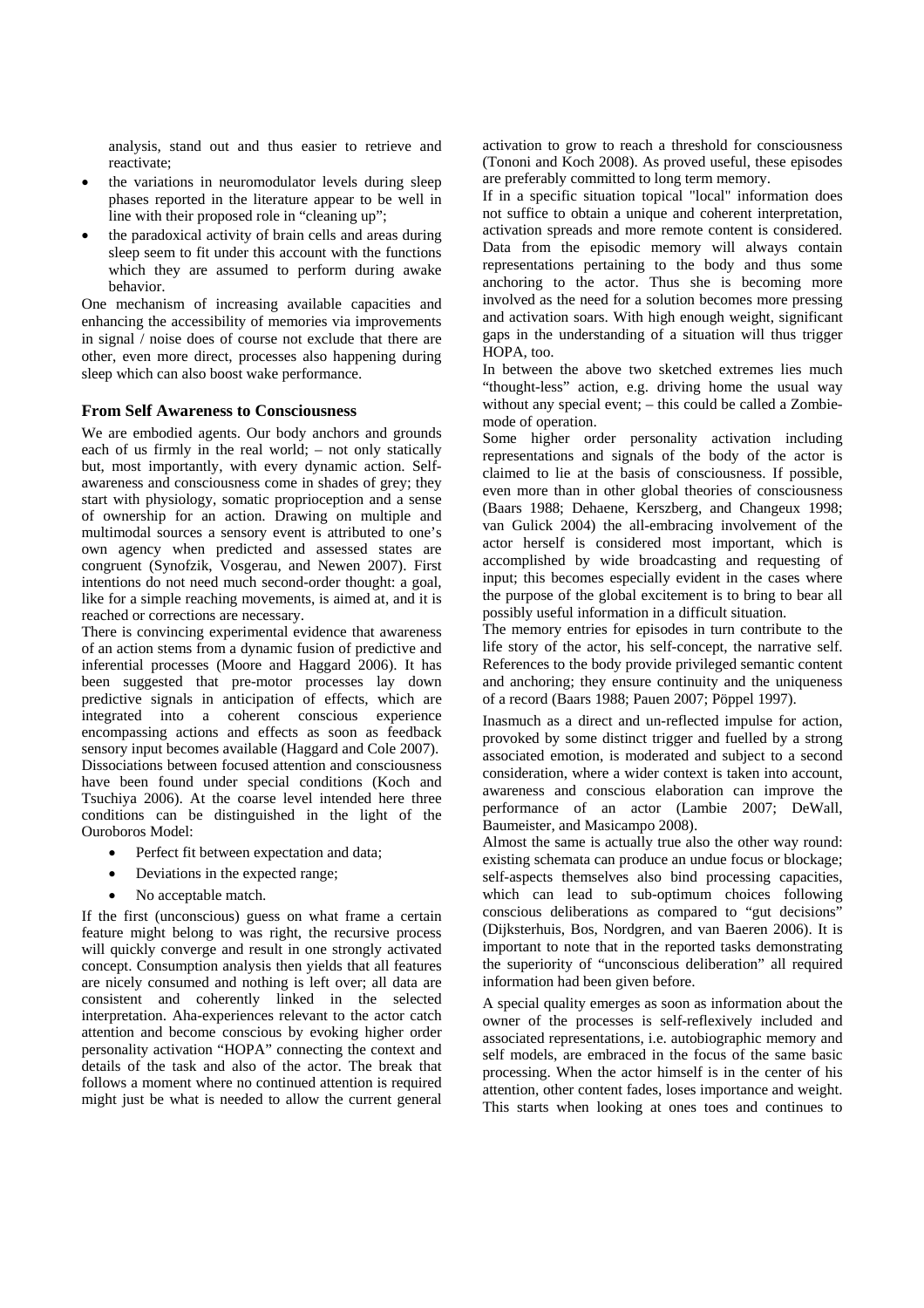analysis, stand out and thus easier to retrieve and reactivate;

- the variations in neuromodulator levels during sleep phases reported in the literature appear to be well in line with their proposed role in "cleaning up";
- the paradoxical activity of brain cells and areas during sleep seem to fit under this account with the functions which they are assumed to perform during awake behavior.

One mechanism of increasing available capacities and enhancing the accessibility of memories via improvements in signal / noise does of course not exclude that there are other, even more direct, processes also happening during sleep which can also boost wake performance.

## **From Self Awareness to Consciousness**

We are embodied agents. Our body anchors and grounds each of us firmly in the real world; – not only statically but, most importantly, with every dynamic action. Selfawareness and consciousness come in shades of grey; they start with physiology, somatic proprioception and a sense of ownership for an action. Drawing on multiple and multimodal sources a sensory event is attributed to one's own agency when predicted and assessed states are congruent (Synofzik, Vosgerau, and Newen 2007). First intentions do not need much second-order thought: a goal, like for a simple reaching movements, is aimed at, and it is reached or corrections are necessary.

There is convincing experimental evidence that awareness of an action stems from a dynamic fusion of predictive and inferential processes (Moore and Haggard 2006). It has been suggested that pre-motor processes lay down predictive signals in anticipation of effects, which are integrated into a coherent conscious experience encompassing actions and effects as soon as feedback sensory input becomes available (Haggard and Cole 2007). Dissociations between focused attention and consciousness have been found under special conditions (Koch and Tsuchiya 2006). At the coarse level intended here three conditions can be distinguished in the light of the Ouroboros Model:

- Perfect fit between expectation and data;
- Deviations in the expected range;
- No acceptable match.

If the first (unconscious) guess on what frame a certain feature might belong to was right, the recursive process will quickly converge and result in one strongly activated concept. Consumption analysis then yields that all features are nicely consumed and nothing is left over; all data are consistent and coherently linked in the selected interpretation. Aha-experiences relevant to the actor catch attention and become conscious by evoking higher order personality activation "HOPA" connecting the context and details of the task and also of the actor. The break that follows a moment where no continued attention is required might just be what is needed to allow the current general

activation to grow to reach a threshold for consciousness (Tononi and Koch 2008). As proved useful, these episodes are preferably committed to long term memory.

If in a specific situation topical "local" information does not suffice to obtain a unique and coherent interpretation, activation spreads and more remote content is considered. Data from the episodic memory will always contain representations pertaining to the body and thus some anchoring to the actor. Thus she is becoming more involved as the need for a solution becomes more pressing and activation soars. With high enough weight, significant gaps in the understanding of a situation will thus trigger HOPA, too.

In between the above two sketched extremes lies much "thought-less" action, e.g. driving home the usual way without any special event; – this could be called a Zombiemode of operation.

Some higher order personality activation including representations and signals of the body of the actor is claimed to lie at the basis of consciousness. If possible, even more than in other global theories of consciousness (Baars 1988; Dehaene, Kerszberg, and Changeux 1998; van Gulick 2004) the all-embracing involvement of the actor herself is considered most important, which is accomplished by wide broadcasting and requesting of input; this becomes especially evident in the cases where the purpose of the global excitement is to bring to bear all possibly useful information in a difficult situation.

The memory entries for episodes in turn contribute to the life story of the actor, his self-concept, the narrative self. References to the body provide privileged semantic content and anchoring; they ensure continuity and the uniqueness of a record (Baars 1988; Pauen 2007; Pöppel 1997).

Inasmuch as a direct and un-reflected impulse for action, provoked by some distinct trigger and fuelled by a strong associated emotion, is moderated and subject to a second consideration, where a wider context is taken into account, awareness and conscious elaboration can improve the performance of an actor (Lambie 2007; DeWall, Baumeister, and Masicampo 2008).

Almost the same is actually true also the other way round: existing schemata can produce an undue focus or blockage; self-aspects themselves also bind processing capacities. which can lead to sub-optimum choices following conscious deliberations as compared to "gut decisions" (Dijksterhuis, Bos, Nordgren, and van Baeren 2006). It is important to note that in the reported tasks demonstrating the superiority of "unconscious deliberation" all required information had been given before.

A special quality emerges as soon as information about the owner of the processes is self-reflexively included and associated representations, i.e. autobiographic memory and self models, are embraced in the focus of the same basic processing. When the actor himself is in the center of his attention, other content fades, loses importance and weight. This starts when looking at ones toes and continues to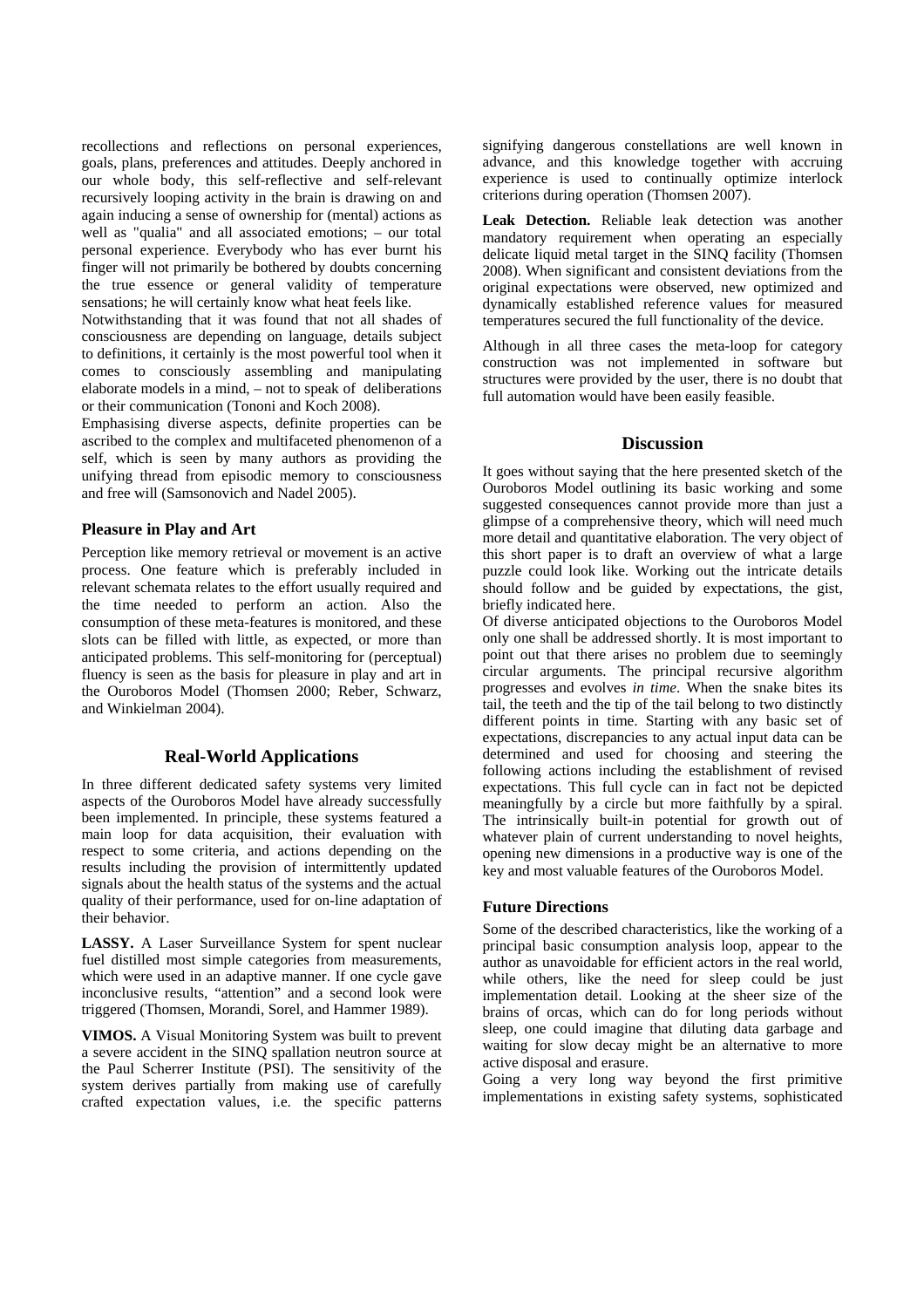recollections and reflections on personal experiences, goals, plans, preferences and attitudes. Deeply anchored in our whole body, this self-reflective and self-relevant recursively looping activity in the brain is drawing on and again inducing a sense of ownership for (mental) actions as well as "qualia" and all associated emotions; – our total personal experience. Everybody who has ever burnt his finger will not primarily be bothered by doubts concerning the true essence or general validity of temperature sensations; he will certainly know what heat feels like.

Notwithstanding that it was found that not all shades of consciousness are depending on language, details subject to definitions, it certainly is the most powerful tool when it comes to consciously assembling and manipulating elaborate models in a mind, – not to speak of deliberations or their communication (Tononi and Koch 2008).

Emphasising diverse aspects, definite properties can be ascribed to the complex and multifaceted phenomenon of a self, which is seen by many authors as providing the unifying thread from episodic memory to consciousness and free will (Samsonovich and Nadel 2005).

## **Pleasure in Play and Art**

Perception like memory retrieval or movement is an active process. One feature which is preferably included in relevant schemata relates to the effort usually required and the time needed to perform an action. Also the consumption of these meta-features is monitored, and these slots can be filled with little, as expected, or more than anticipated problems. This self-monitoring for (perceptual) fluency is seen as the basis for pleasure in play and art in the Ouroboros Model (Thomsen 2000; Reber, Schwarz, and Winkielman 2004).

## **Real-World Applications**

In three different dedicated safety systems very limited aspects of the Ouroboros Model have already successfully been implemented. In principle, these systems featured a main loop for data acquisition, their evaluation with respect to some criteria, and actions depending on the results including the provision of intermittently updated signals about the health status of the systems and the actual quality of their performance, used for on-line adaptation of their behavior.

**LASSY.** A Laser Surveillance System for spent nuclear fuel distilled most simple categories from measurements, which were used in an adaptive manner. If one cycle gave inconclusive results, "attention" and a second look were triggered (Thomsen, Morandi, Sorel, and Hammer 1989).

**VIMOS.** A Visual Monitoring System was built to prevent a severe accident in the SINQ spallation neutron source at the Paul Scherrer Institute (PSI). The sensitivity of the system derives partially from making use of carefully crafted expectation values, i.e. the specific patterns

signifying dangerous constellations are well known in advance, and this knowledge together with accruing experience is used to continually optimize interlock criterions during operation (Thomsen 2007).

**Leak Detection.** Reliable leak detection was another mandatory requirement when operating an especially delicate liquid metal target in the SINQ facility (Thomsen 2008). When significant and consistent deviations from the original expectations were observed, new optimized and dynamically established reference values for measured temperatures secured the full functionality of the device.

Although in all three cases the meta-loop for category construction was not implemented in software but structures were provided by the user, there is no doubt that full automation would have been easily feasible.

## **Discussion**

It goes without saying that the here presented sketch of the Ouroboros Model outlining its basic working and some suggested consequences cannot provide more than just a glimpse of a comprehensive theory, which will need much more detail and quantitative elaboration. The very object of this short paper is to draft an overview of what a large puzzle could look like. Working out the intricate details should follow and be guided by expectations, the gist, briefly indicated here.

Of diverse anticipated objections to the Ouroboros Model only one shall be addressed shortly. It is most important to point out that there arises no problem due to seemingly circular arguments. The principal recursive algorithm progresses and evolves *in time*. When the snake bites its tail, the teeth and the tip of the tail belong to two distinctly different points in time. Starting with any basic set of expectations, discrepancies to any actual input data can be determined and used for choosing and steering the following actions including the establishment of revised expectations. This full cycle can in fact not be depicted meaningfully by a circle but more faithfully by a spiral. The intrinsically built-in potential for growth out of whatever plain of current understanding to novel heights, opening new dimensions in a productive way is one of the key and most valuable features of the Ouroboros Model.

#### **Future Directions**

Some of the described characteristics, like the working of a principal basic consumption analysis loop, appear to the author as unavoidable for efficient actors in the real world, while others, like the need for sleep could be just implementation detail. Looking at the sheer size of the brains of orcas, which can do for long periods without sleep, one could imagine that diluting data garbage and waiting for slow decay might be an alternative to more active disposal and erasure.

Going a very long way beyond the first primitive implementations in existing safety systems, sophisticated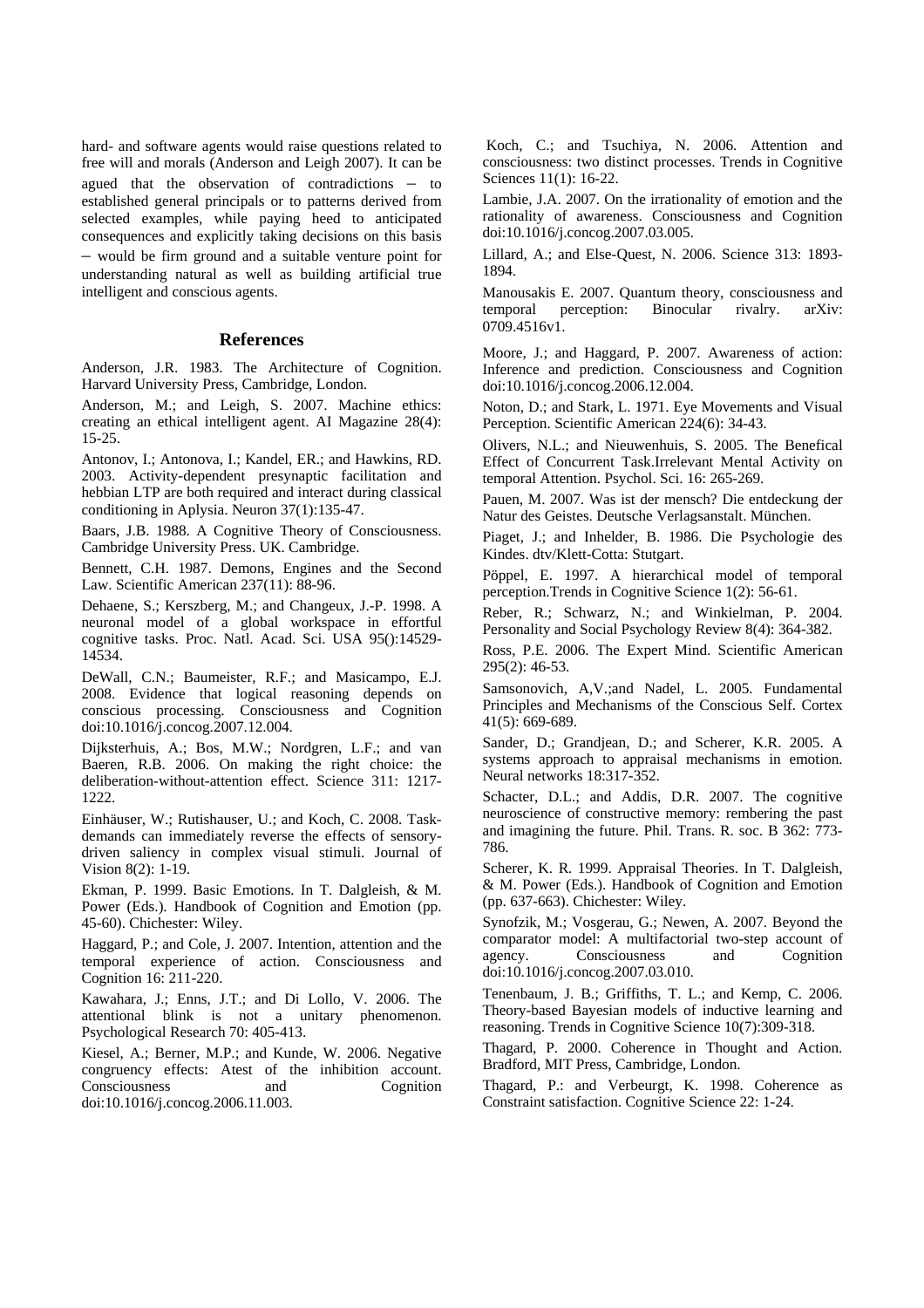hard- and software agents would raise questions related to free will and morals (Anderson and Leigh 2007). It can be agued that the observation of contradictions – to established general principals or to patterns derived from selected examples, while paying heed to anticipated consequences and explicitly taking decisions on this basis – would be firm ground and a suitable venture point for understanding natural as well as building artificial true intelligent and conscious agents.

#### **References**

Anderson, J.R. 1983. The Architecture of Cognition. Harvard University Press, Cambridge, London.

Anderson, M.; and Leigh, S. 2007. Machine ethics: creating an ethical intelligent agent. AI Magazine 28(4): 15-25.

Antonov, I.; Antonova, I.; Kandel, ER.; and Hawkins, RD. 2003. Activity-dependent presynaptic facilitation and hebbian LTP are both required and interact during classical conditioning in Aplysia. Neuron 37(1):135-47.

Baars, J.B. 1988. A Cognitive Theory of Consciousness. Cambridge University Press. UK. Cambridge.

Bennett, C.H. 1987. Demons, Engines and the Second Law. Scientific American 237(11): 88-96.

Dehaene, S.; Kerszberg, M.; and Changeux, J.-P. 1998. A neuronal model of a global workspace in effortful cognitive tasks. Proc. Natl. Acad. Sci. USA 95():14529- 14534.

DeWall, C.N.; Baumeister, R.F.; and Masicampo, E.J. 2008. Evidence that logical reasoning depends on conscious processing. Consciousness and Cognition doi:10.1016/j.concog.2007.12.004.

Dijksterhuis, A.; Bos, M.W.; Nordgren, L.F.; and van Baeren, R.B. 2006. On making the right choice: the deliberation-without-attention effect. Science 311: 1217- 1222.

Einhäuser, W.; Rutishauser, U.; and Koch, C. 2008. Taskdemands can immediately reverse the effects of sensorydriven saliency in complex visual stimuli. Journal of Vision 8(2): 1-19.

Ekman, P. 1999. Basic Emotions. In T. Dalgleish, & M. Power (Eds.). Handbook of Cognition and Emotion (pp. 45-60). Chichester: Wiley.

Haggard, P.; and Cole, J. 2007. Intention, attention and the temporal experience of action. Consciousness and Cognition 16: 211-220.

Kawahara, J.; Enns, J.T.; and Di Lollo, V. 2006. The attentional blink is not a unitary phenomenon. Psychological Research 70: 405-413.

Kiesel, A.; Berner, M.P.; and Kunde, W. 2006. Negative congruency effects: Atest of the inhibition account. Consciousness and Cognition doi:10.1016/j.concog.2006.11.003.

 Koch, C.; and Tsuchiya, N. 2006. Attention and consciousness: two distinct processes. Trends in Cognitive Sciences 11(1): 16-22.

Lambie, J.A. 2007. On the irrationality of emotion and the rationality of awareness. Consciousness and Cognition doi:10.1016/j.concog.2007.03.005.

Lillard, A.; and Else-Quest, N. 2006. Science 313: 1893- 1894.

Manousakis E. 2007. Quantum theory, consciousness and temporal perception: Binocular rivalry. arXiv: 0709.4516v1.

Moore, J.; and Haggard, P. 2007. Awareness of action: Inference and prediction. Consciousness and Cognition doi:10.1016/j.concog.2006.12.004.

Noton, D.; and Stark, L. 1971. Eye Movements and Visual Perception. Scientific American 224(6): 34-43.

Olivers, N.L.; and Nieuwenhuis, S. 2005. The Benefical Effect of Concurrent Task.Irrelevant Mental Activity on temporal Attention. Psychol. Sci. 16: 265-269.

Pauen, M. 2007. Was ist der mensch? Die entdeckung der Natur des Geistes. Deutsche Verlagsanstalt. München.

Piaget, J.; and Inhelder, B. 1986. Die Psychologie des Kindes. dtv/Klett-Cotta: Stutgart.

Pöppel, E. 1997. A hierarchical model of temporal perception.Trends in Cognitive Science 1(2): 56-61.

Reber, R.; Schwarz, N.; and Winkielman, P. 2004. Personality and Social Psychology Review 8(4): 364-382.

Ross, P.E. 2006. The Expert Mind. Scientific American 295(2): 46-53.

Samsonovich, A,V.;and Nadel, L. 2005. Fundamental Principles and Mechanisms of the Conscious Self. Cortex 41(5): 669-689.

Sander, D.; Grandjean, D.; and Scherer, K.R. 2005. A systems approach to appraisal mechanisms in emotion. Neural networks 18:317-352.

Schacter, D.L.; and Addis, D.R. 2007. The cognitive neuroscience of constructive memory: rembering the past and imagining the future. Phil. Trans. R. soc. B 362: 773- 786.

Scherer, K. R. 1999. Appraisal Theories. In T. Dalgleish, & M. Power (Eds.). Handbook of Cognition and Emotion (pp. 637-663). Chichester: Wiley.

Synofzik, M.; Vosgerau, G.; Newen, A. 2007. Beyond the comparator model: A multifactorial two-step account of agency. Consciousness and Cognition doi:10.1016/j.concog.2007.03.010.

Tenenbaum, J. B.; Griffiths, T. L.; and Kemp, C. 2006. Theory-based Bayesian models of inductive learning and reasoning. Trends in Cognitive Science 10(7):309-318.

Thagard, P. 2000. Coherence in Thought and Action. Bradford, MIT Press, Cambridge, London.

Thagard, P.: and Verbeurgt, K. 1998. Coherence as Constraint satisfaction. Cognitive Science 22: 1-24.